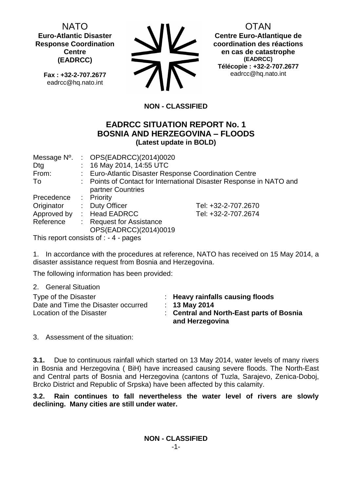NATO **Euro-Atlantic Disaster Response Coordination Centre (EADRCC)**

> **Fax : +32-2-707.2677** eadrcc@hq.nato.int



OTAN

**Centre Euro-Atlantique de coordination des réactions en cas de catastrophe (EADRCC) Télécopie : +32-2-707.2677** eadrcc@hq.nato.int

# **NON - CLASSIFIED**

# **EADRCC SITUATION REPORT No. 1 BOSNIA AND HERZEGOVINA – FLOODS (Latest update in BOLD)**

| : $OPS(EADRCC)(2014)0020$                             |                                                                     |
|-------------------------------------------------------|---------------------------------------------------------------------|
| : 16 May 2014, 14:55 UTC                              |                                                                     |
| : Euro-Atlantic Disaster Response Coordination Centre |                                                                     |
|                                                       | : Points of Contact for International Disaster Response in NATO and |
| partner Countries                                     |                                                                     |
| : Priority                                            |                                                                     |
| : Duty Officer                                        | Tel: +32-2-707.2670                                                 |
| : Head EADRCC                                         | Tel: +32-2-707.2674                                                 |
| <b>Request for Assistance</b>                         |                                                                     |
| OPS(EADRCC)(2014)0019                                 |                                                                     |
|                                                       |                                                                     |

This report consists of : - 4 - pages

1. In accordance with the procedures at reference, NATO has received on 15 May 2014, a disaster assistance request from Bosnia and Herzegovina.

The following information has been provided:

2. General Situation

Type of the Disaster : **Heavy rainfalls causing floods** Date and Time the Disaster occurred : **13 May 2014**

- 
- 
- Location of the Disaster : **Central and North-East parts of Bosnia and Herzegovina**

3. Assessment of the situation:

**3.1.** Due to continuous rainfall which started on 13 May 2014, water levels of many rivers in Bosnia and Herzegovina ( BiH) have increased causing severe floods. The North-East and Central parts of Bosnia and Herzegovina (cantons of Tuzla, Sarajevo, Zenica-Doboj, Brcko District and Republic of Srpska) have been affected by this calamity.

**3.2. Rain continues to fall nevertheless the water level of rivers are slowly declining. Many cities are still under water.**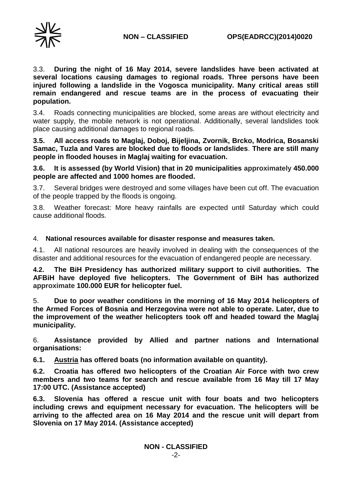



3.3. **During the night of 16 May 2014, severe landslides have been activated at several locations causing damages to regional roads. Three persons have been injured following a landslide in the Vogosca municipality. Many critical areas still remain endangered and rescue teams are in the process of evacuating their population.** 

3.4. Roads connecting municipalities are blocked, some areas are without electricity and water supply, the mobile network is not operational. Additionally, several landslides took place causing additional damages to regional roads.

**3.5. All access roads to Maglaj, Doboj, Bijeljina, Zvornik, Brcko, Modrica, Bosanski Samac, Tuzla and Vares are blocked due to floods or landslides**. **There are still many people in flooded houses in Maglaj waiting for evacuation.**

**3.6. It is assessed (by World Vision) that in 20 municipalities approximately 450.000 people are affected and 1000 homes are flooded.**

3.7. Several bridges were destroyed and some villages have been cut off. The evacuation of the people trapped by the floods is ongoing.

3.8. Weather forecast: More heavy rainfalls are expected until Saturday which could cause additional floods.

### 4. **National resources available for disaster response and measures taken.**

4.1. All national resources are heavily involved in dealing with the consequences of the disaster and additional resources for the evacuation of endangered people are necessary.

**4.2. The BiH Presidency has authorized military support to civil authorities. The AFBiH have deployed five helicopters. The Government of BiH has authorized approximate 100.000 EUR for helicopter fuel.**

5. **Due to poor weather conditions in the morning of 16 May 2014 helicopters of the Armed Forces of Bosnia and Herzegovina were not able to operate. Later, due to the improvement of the weather helicopters took off and headed toward the Maglaj municipality.**

6. **Assistance provided by Allied and partner nations and International organisations:**

**6.1. Austria has offered boats (no information available on quantity).** 

**6.2. Croatia has offered two helicopters of the Croatian Air Force with two crew members and two teams for search and rescue available from 16 May till 17 May 17:00 UTC. (Assistance accepted)**

**6.3. Slovenia has offered a rescue unit with four boats and two helicopters including crews and equipment necessary for evacuation. The helicopters will be arriving to the affected area on 16 May 2014 and the rescue unit will depart from Slovenia on 17 May 2014. (Assistance accepted)**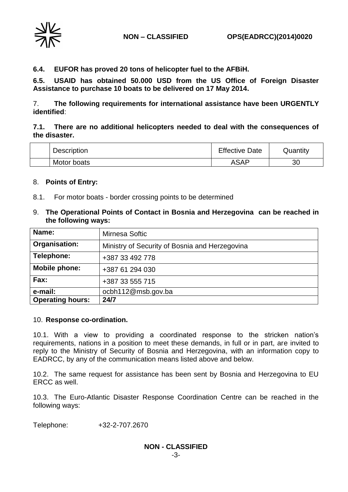

**6.4. EUFOR has proved 20 tons of helicopter fuel to the AFBiH.**

**6.5. USAID has obtained 50.000 USD from the US Office of Foreign Disaster Assistance to purchase 10 boats to be delivered on 17 May 2014.**

7. **The following requirements for international assistance have been URGENTLY identified**:

## **7.1. There are no additional helicopters needed to deal with the consequences of the disaster.**

| <b>Description</b> | <b>Effective Date</b> | Quantity |
|--------------------|-----------------------|----------|
| Motor boats        | ASAP                  | oc<br>3U |

### 8. **Points of Entry:**

- 8.1. For motor boats border crossing points to be determined
- 9. **The Operational Points of Contact in Bosnia and Herzegovina can be reached in the following ways:**

| Name:                   | Mirnesa Softic                                 |
|-------------------------|------------------------------------------------|
| Organisation:           | Ministry of Security of Bosnia and Herzegovina |
| Telephone:              | +387 33 492 778                                |
| Mobile phone:           | +387 61 294 030                                |
| Fax:                    | +387 33 555 715                                |
| e-mail:                 | ocbh112@msb.gov.ba                             |
| <b>Operating hours:</b> | 24/7                                           |

### 10. **Response co-ordination.**

10.1. With a view to providing a coordinated response to the stricken nation's requirements, nations in a position to meet these demands, in full or in part, are invited to reply to the Ministry of Security of Bosnia and Herzegovina, with an information copy to EADRCC, by any of the communication means listed above and below.

10.2. The same request for assistance has been sent by Bosnia and Herzegovina to EU ERCC as well.

10.3. The Euro-Atlantic Disaster Response Coordination Centre can be reached in the following ways:

Telephone: +32-2-707.2670